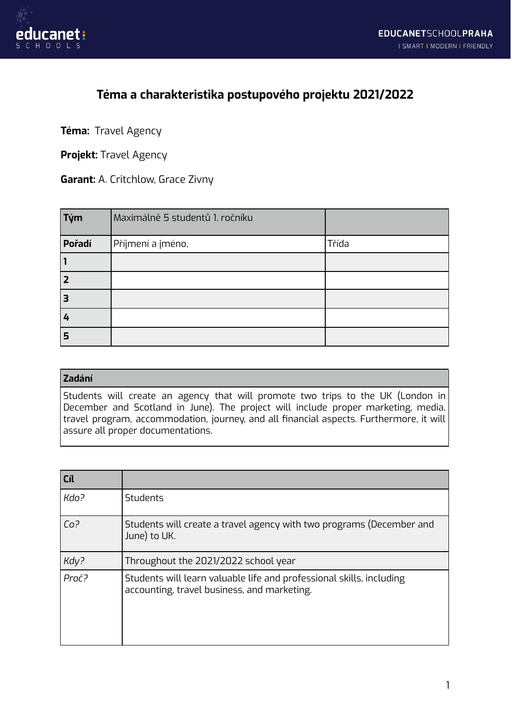

## **Téma a charakteristika postupového projektu 2021/2022**

**Téma:** Travel Agency

**Projekt:** Travel Agency

**Garant:** A. Critchlow, Grace Zivny

| $\vert$ Tým | Maximálně 5 studentů 1. ročníku |       |
|-------------|---------------------------------|-------|
| Pořadí      | Příjmení a jméno,               | Třída |
|             |                                 |       |
| l 2         |                                 |       |
| 13          |                                 |       |
| 4           |                                 |       |
| 5           |                                 |       |

## **Zadání**

Students will create an agency that will promote two trips to the UK (London in December and Scotland in June). The project will include proper marketing, media, travel program, accommodation, journey, and all financial aspects. Furthermore, it will assure all proper documentations.

| Cíl             |                                                                                                                     |
|-----------------|---------------------------------------------------------------------------------------------------------------------|
| Kdo?            | <b>Students</b>                                                                                                     |
| Co <sup>2</sup> | Students will create a travel agency with two programs (December and<br>June) to UK.                                |
| Kdy?            | Throughout the 2021/2022 school year                                                                                |
| Proč?           | Students will learn valuable life and professional skills, including<br>accounting, travel business, and marketing. |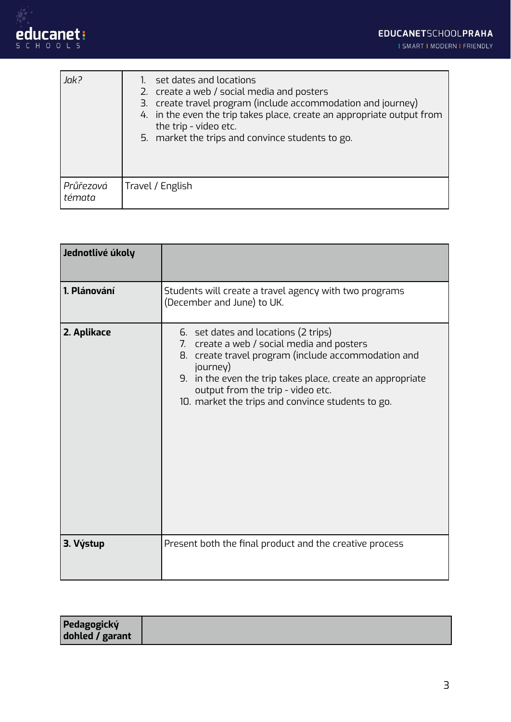I SMART I MODERN I FRIENDLY

| Jak?                | set dates and locations<br>2. create a web / social media and posters<br>3. create travel program (include accommodation and journey)<br>4. in the even the trip takes place, create an appropriate output from<br>the trip - video etc.<br>5. market the trips and convince students to go. |
|---------------------|----------------------------------------------------------------------------------------------------------------------------------------------------------------------------------------------------------------------------------------------------------------------------------------------|
| Průřezová<br>témata | Travel / English                                                                                                                                                                                                                                                                             |

| Jednotlivé úkoly |                                                                                                                                                                                                                                                                                                                  |
|------------------|------------------------------------------------------------------------------------------------------------------------------------------------------------------------------------------------------------------------------------------------------------------------------------------------------------------|
| 1. Plánování     | Students will create a travel agency with two programs<br>(December and June) to UK.                                                                                                                                                                                                                             |
| 2. Aplikace      | 6. set dates and locations (2 trips)<br>7. create a web / social media and posters<br>create travel program (include accommodation and<br>8.<br>journey)<br>9. in the even the trip takes place, create an appropriate<br>output from the trip - video etc.<br>10. market the trips and convince students to go. |
| 3. Výstup        | Present both the final product and the creative process                                                                                                                                                                                                                                                          |

| Pedagogický     |  |
|-----------------|--|
| dohled / garant |  |